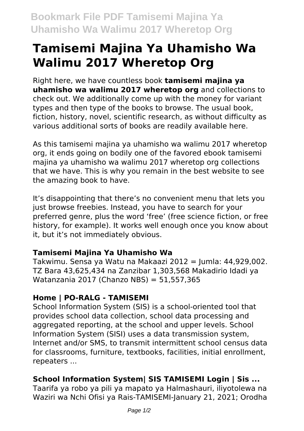# **Tamisemi Majina Ya Uhamisho Wa Walimu 2017 Wheretop Org**

Right here, we have countless book **tamisemi majina ya uhamisho wa walimu 2017 wheretop org** and collections to check out. We additionally come up with the money for variant types and then type of the books to browse. The usual book, fiction, history, novel, scientific research, as without difficulty as various additional sorts of books are readily available here.

As this tamisemi majina ya uhamisho wa walimu 2017 wheretop org, it ends going on bodily one of the favored ebook tamisemi majina ya uhamisho wa walimu 2017 wheretop org collections that we have. This is why you remain in the best website to see the amazing book to have.

It's disappointing that there's no convenient menu that lets you just browse freebies. Instead, you have to search for your preferred genre, plus the word 'free' (free science fiction, or free history, for example). It works well enough once you know about it, but it's not immediately obvious.

#### **Tamisemi Majina Ya Uhamisho Wa**

Takwimu. Sensa ya Watu na Makaazi 2012 = Jumla: 44,929,002. TZ Bara 43,625,434 na Zanzibar 1,303,568 Makadirio Idadi ya Watanzania 2017 (Chanzo NBS) = 51,557,365

## **Home | PO-RALG - TAMISEMI**

School Information System (SIS) is a school-oriented tool that provides school data collection, school data processing and aggregated reporting, at the school and upper levels. School Information System (SISI) uses a data transmission system, Internet and/or SMS, to transmit intermittent school census data for classrooms, furniture, textbooks, facilities, initial enrollment, repeaters ...

## **School Information System| SIS TAMISEMI Login | Sis ...**

Taarifa ya robo ya pili ya mapato ya Halmashauri, iliyotolewa na Waziri wa Nchi Ofisi ya Rais-TAMISEMI-January 21, 2021; Orodha